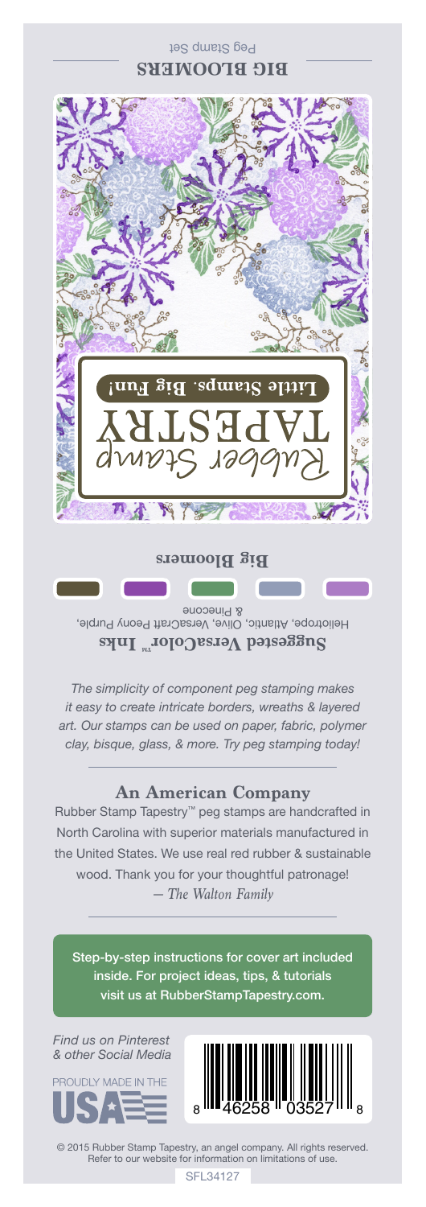## Peg Stamp Set **BIG BLOOMERS**



Heliotrope, Atlantic, Olive, VersaCraft Peony Purple, & Pinecone **Suggested VersaColorTM Inks**

*The simplicity of component peg stamping makes it easy to create intricate borders, wreaths & layered art. Our stamps can be used on paper, fabric, polymer clay, bisque, glass, & more. Try peg stamping today!*

## **An American Company**

*— The Walton Family* Rubber Stamp Tapestry™ peg stamps are handcrafted in North Carolina with superior materials manufactured in the United States. We use real red rubber & sustainable wood. Thank you for your thoughtful patronage!

Step-by-step instructions for cover art included inside. For project ideas, tips, & tutorials visit us at RubberStampTapestry.com.

*Find us on Pinterest & other Social Media*





© 2015 Rubber Stamp Tapestry, an angel company. All rights reserved. Refer to our website for information on limitations of use.